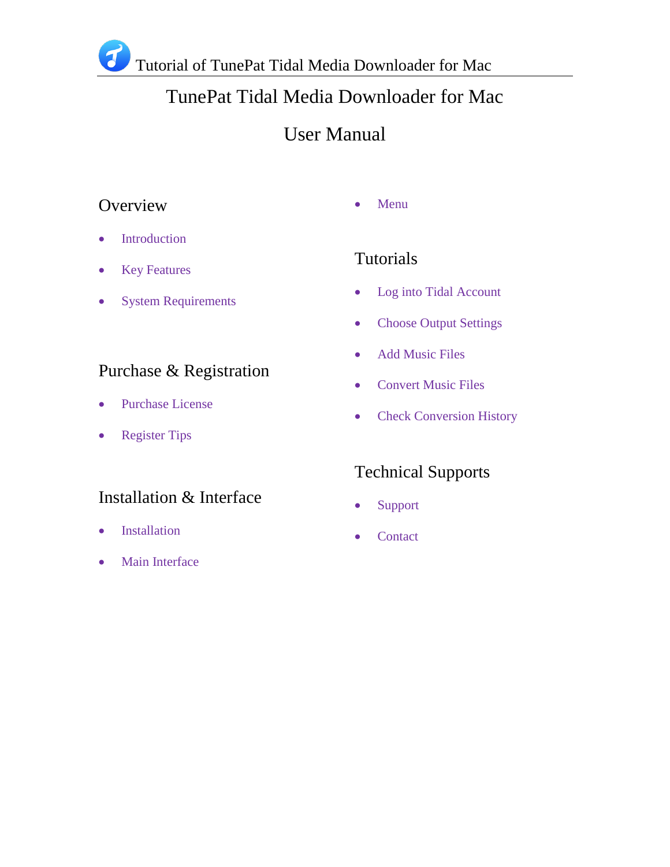# TunePat Tidal Media Downloader for Mac

# User Manual

## **Overview**

- 
- Introduction
- Key Features
- System Requirements

## Purchase & Registration

- Purchase License
- Register Tips

## Installation & Interface

- Installation
- Main Interface

## • Menu

## Tutorials

- Log into Tidal Account
- Choose Output Settings
- Add Music Files
- Convert Music Files
- Check Conversion History

## Technical Supports

- Support
- Contact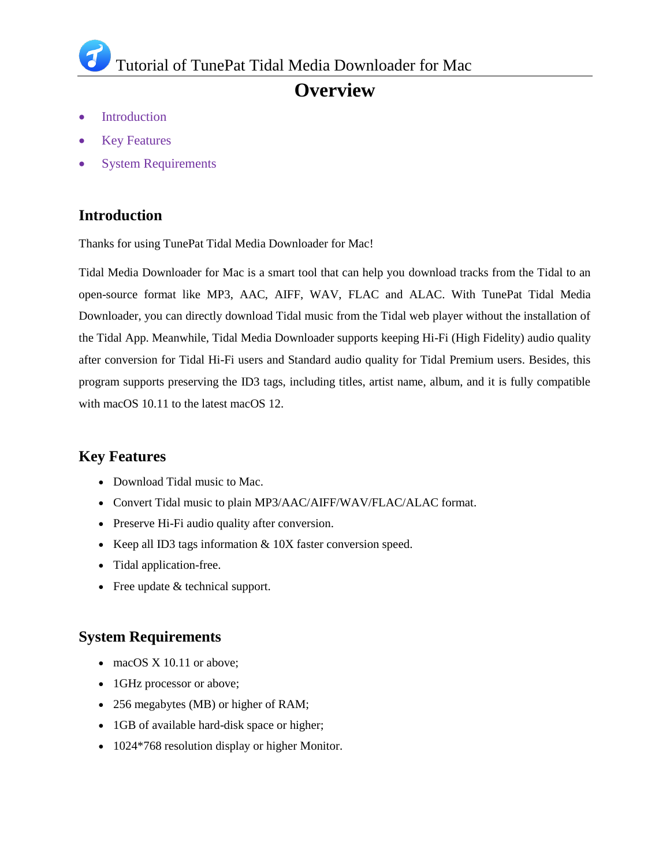# **Overview**

- Introduction
- Key Features
- System Requirements

### **Introduction**

Thanks for using TunePat Tidal Media Downloader for Mac!

Tidal Media Downloader for Mac is a smart tool that can help you download tracks from the Tidal to an open-source format like MP3, AAC, AIFF, WAV, FLAC and ALAC. With TunePat Tidal Media Downloader, you can directly download Tidal music from the Tidal web player without the installation of the Tidal App. Meanwhile, Tidal Media Downloader supports keeping Hi-Fi (High Fidelity) audio quality after conversion for Tidal Hi-Fi users and Standard audio quality for Tidal Premium users. Besides, this program supports preserving the ID3 tags, including titles, artist name, album, and it is fully compatible with macOS 10.11 to the latest macOS 12.

### **Key Features**

- Download Tidal music to Mac.
- Convert Tidal music to plain MP3/AAC/AIFF/WAV/FLAC/ALAC format.
- Preserve Hi-Fi audio quality after conversion.
- Exercise Keep all ID3 tags information  $& 10X$  faster conversion speed.
- Tidal application-free.
- Free update & technical support.

### **System Requirements**

- macOS X 10.11 or above;
- 1GHz processor or above;
- 256 megabytes (MB) or higher of RAM;
- 1GB of available hard-disk space or higher;
- 1024\*768 resolution display or higher Monitor.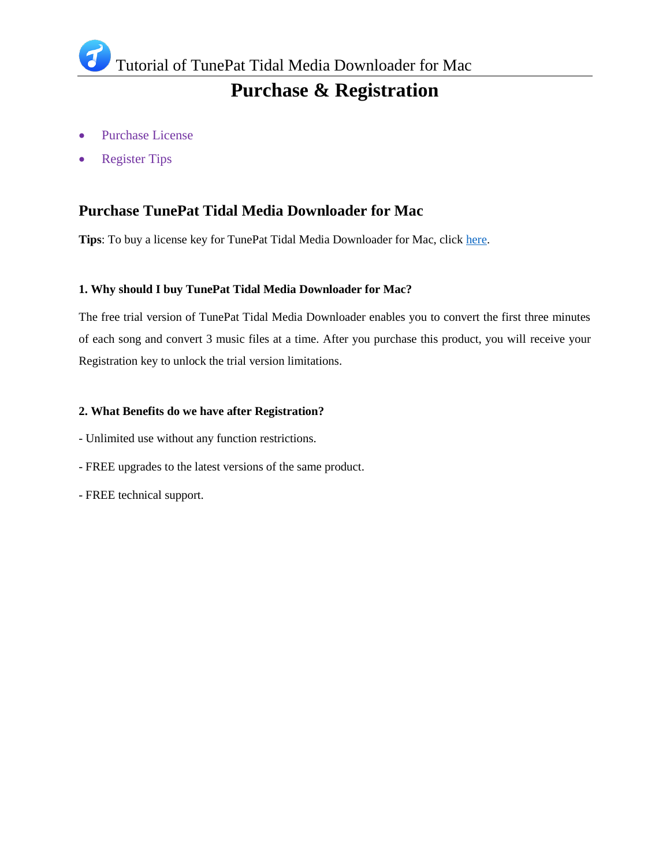# **Purchase & Registration**

- Purchase License
- Register Tips

### **Purchase TunePat Tidal Media Downloader for Mac**

**Tips**: To buy a license key for TunePat Tidal Media Downloader for Mac, click [here.](https://www.tunepat.com/media-downloader-mac/buynow.html)

#### **1. Why should I buy TunePat Tidal Media Downloader for Mac?**

The free trial version of TunePat Tidal Media Downloader enables you to convert the first three minutes of each song and convert 3 music files at a time. After you purchase this product, you will receive your Registration key to unlock the trial version limitations.

#### **2. What Benefits do we have after Registration?**

- Unlimited use without any function restrictions.
- FREE upgrades to the latest versions of the same product.
- FREE technical support.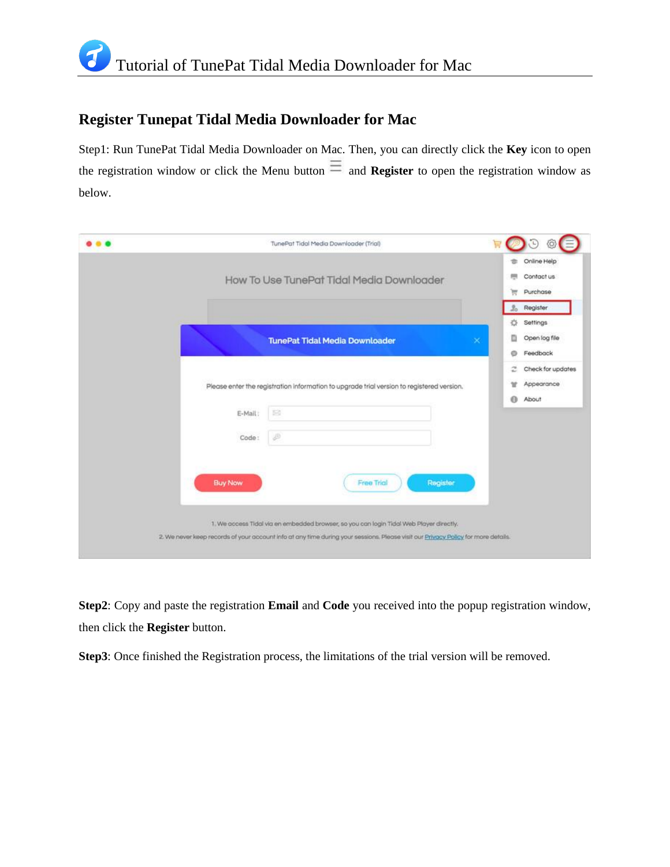## **Register Tunepat Tidal Media Downloader for Mac**

Step1: Run TunePat Tidal Media Downloader on Mac. Then, you can directly click the **Key** icon to open the registration window or click the Menu button  $\equiv$  and **Register** to open the registration window as below.

| TunePat Tidal Media Downloader (Trial)                                                                                                                                                                                                                                   |                                                                   |
|--------------------------------------------------------------------------------------------------------------------------------------------------------------------------------------------------------------------------------------------------------------------------|-------------------------------------------------------------------|
| How To Use TunePat Tidal Media Downloader                                                                                                                                                                                                                                | Online Help<br>s<br>Contact us<br>Purchase<br>ਸ਼ਾ                 |
| <b>TunePat Tidal Media Downloader</b><br>$\propto$                                                                                                                                                                                                                       | Register<br>L.<br>怸<br>Settings<br>Open log file<br>Feedback<br>Ö |
| Please enter the registration information to upgrade trial version to registered version.<br>忌<br>E-Mail:                                                                                                                                                                | Check for updates<br>z<br>Appearance<br>u<br>About<br>$\Theta$    |
| P<br>Code:                                                                                                                                                                                                                                                               |                                                                   |
| <b>Buy Now</b><br>Register<br>Free Trial<br>1. We access Tidal via en embedded browser, so you can login Tidal Web Player directly.<br>2. We never keep records of your account info at any time during your sessions. Please visit our Privacy Policy for more details. |                                                                   |

**Step2**: Copy and paste the registration **Email** and **Code** you received into the popup registration window, then click the **Register** button.

**Step3**: Once finished the Registration process, the limitations of the trial version will be removed.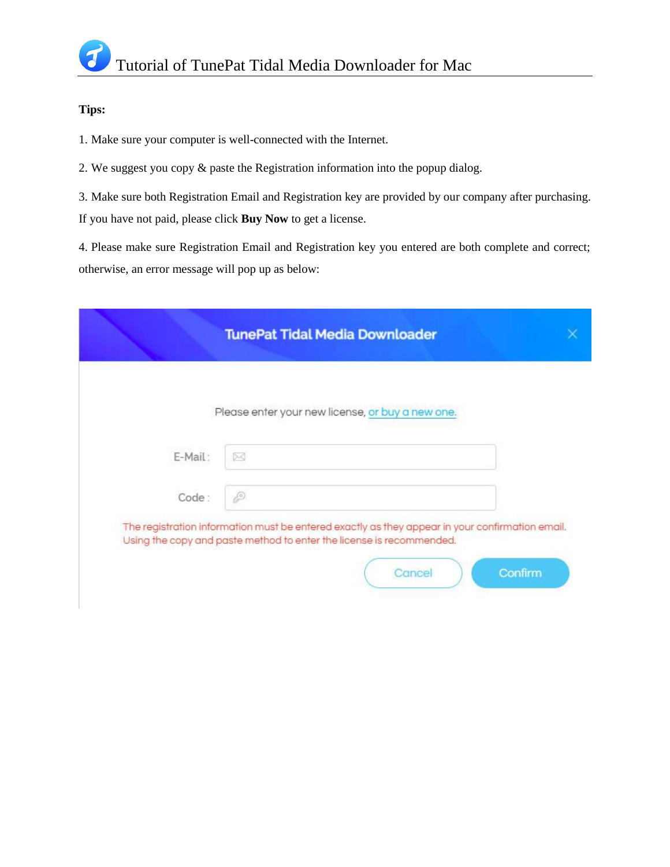#### **Tips:**

1. Make sure your computer is well-connected with the Internet.

2. We suggest you copy & paste the Registration information into the popup dialog.

3. Make sure both Registration Email and Registration key are provided by our company after purchasing.

If you have not paid, please click **Buy Now** to get a license.

4. Please make sure Registration Email and Registration key you entered are both complete and correct; otherwise, an error message will pop up as below:

|         | <b>TunePat Tidal Media Downloader</b>                                                                                                                                                        |  |
|---------|----------------------------------------------------------------------------------------------------------------------------------------------------------------------------------------------|--|
|         | Please enter your new license, or buy a new one.                                                                                                                                             |  |
| E-Mail: | X                                                                                                                                                                                            |  |
| Code:   | P                                                                                                                                                                                            |  |
|         | The registration information must be entered exactly as they appear in your confirmation email.<br>Using the copy and paste method to enter the license is recommended.<br>Cancel<br>Confirm |  |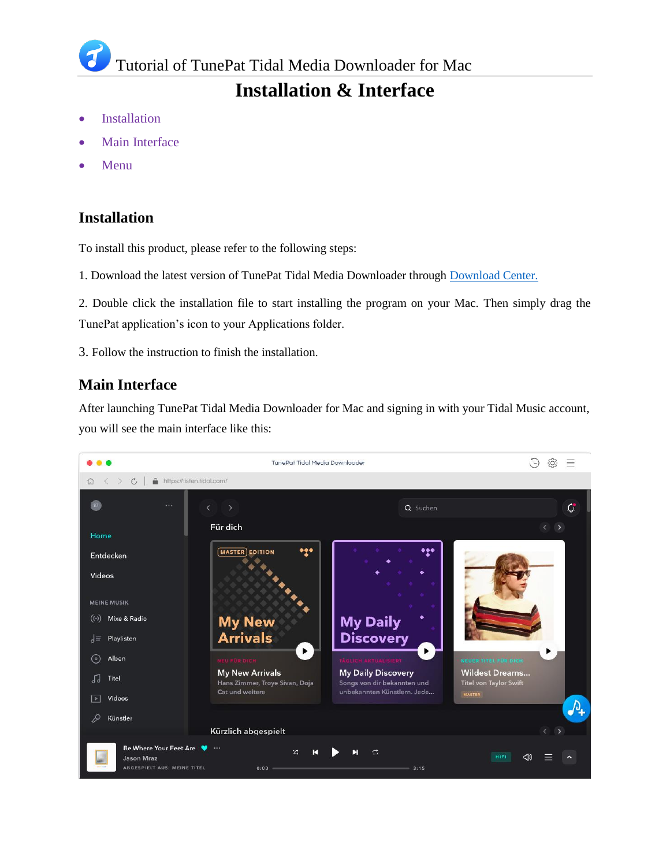Tutorial of TunePat Tidal Media Downloader for Mac

## **Installation & Interface**

- Installation
- Main Interface
- Menu

### **Installation**

To install this product, please refer to the following steps:

1. Download the latest version of TunePat Tidal Media Downloader through [Download Center.](https://www.tunepat.com/download.html)

2. Double click the installation file to start installing the program on your Mac. Then simply drag the TunePat application's icon to your Applications folder.

3. Follow the instruction to finish the installation.

### **Main Interface**

After launching TunePat Tidal Media Downloader for Mac and signing in with your Tidal Music account, you will see the main interface like this:

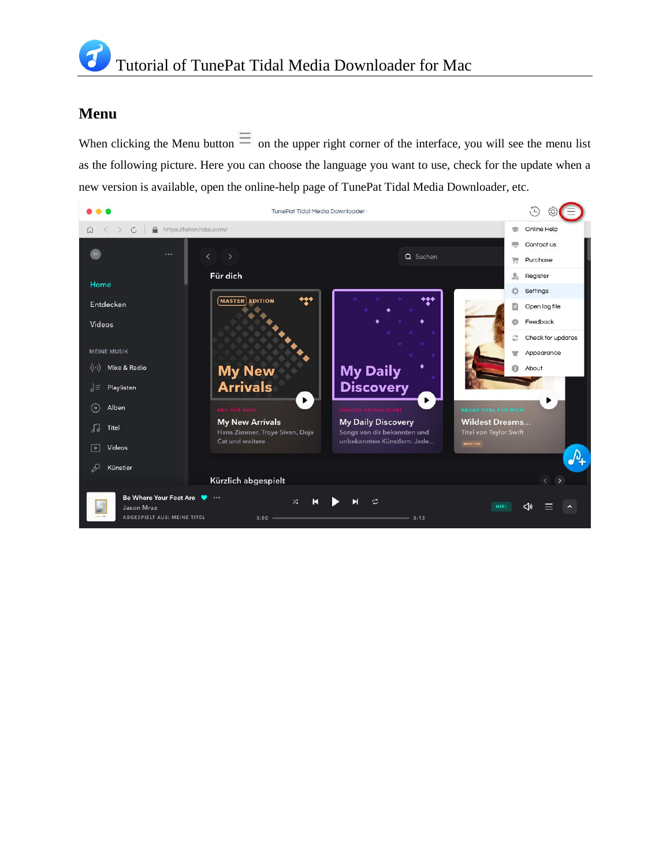### **Menu**

When clicking the Menu button  $\equiv$  on the upper right corner of the interface, you will see the menu list as the following picture. Here you can choose the language you want to use, check for the update when a new version is available, open the online-help page of TunePat Tidal Media Downloader, etc.

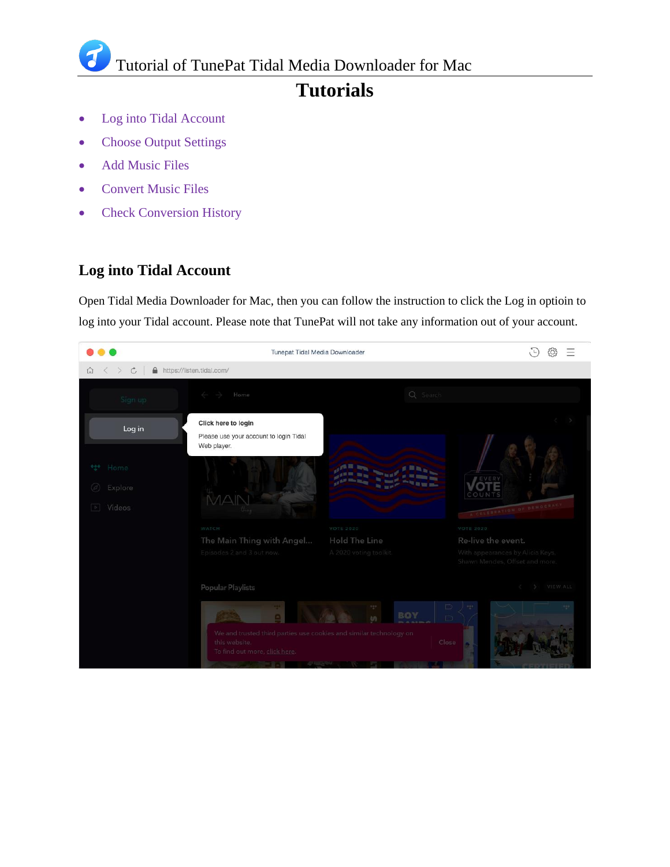Tutorial of TunePat Tidal Media Downloader for Mac

# **Tutorials**

- Log into Tidal Account
- Choose Output Settings
- Add Music Files
- Convert Music Files
- Check Conversion History

## **Log into Tidal Account**

Open Tidal Media Downloader for Mac, then you can follow the instruction to click the Log in optioin to log into your Tidal account. Please note that TunePat will not take any information out of your account.

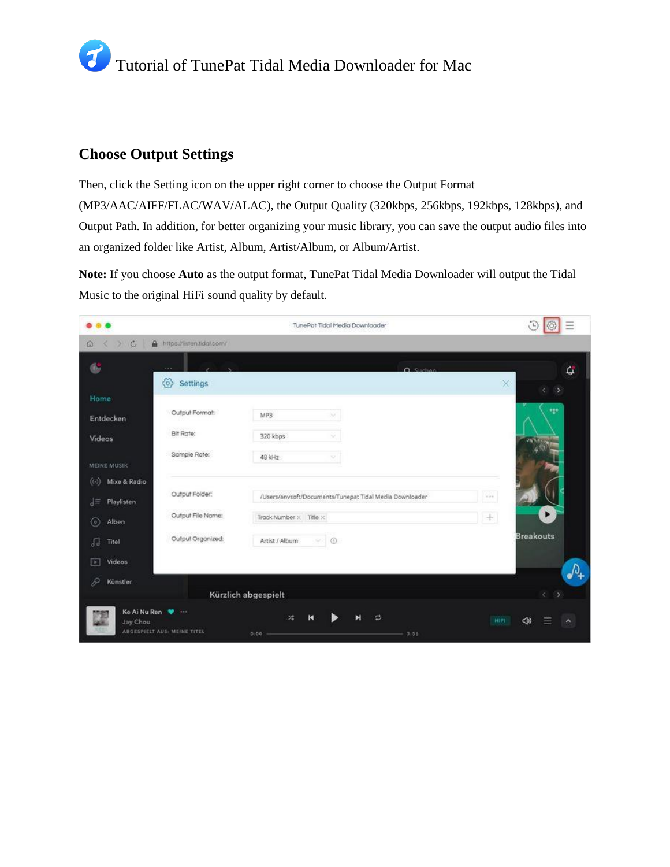### **Choose Output Settings**

Then, click the Setting icon on the upper right corner to choose the Output Format (MP3/AAC/AIFF/FLAC/WAV/ALAC), the Output Quality (320kbps, 256kbps, 192kbps, 128kbps), and Output Path. In addition, for better organizing your music library, you can save the output audio files into an organized folder like Artist, Album, Artist/Album, or Album/Artist.

**Note:** If you choose **Auto** as the output format, TunePat Tidal Media Downloader will output the Tidal Music to the original HiFi sound quality by default.

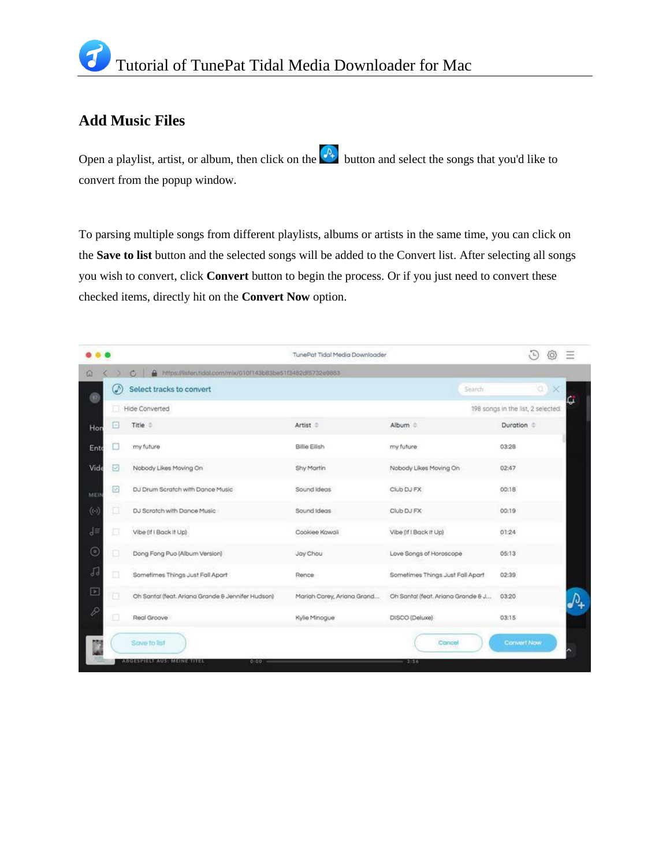### **Add Music Files**

Open a playlist, artist, or album, then click on the  $\frac{p}{r}$  button and select the songs that you'd like to convert from the popup window.

To parsing multiple songs from different playlists, albums or artists in the same time, you can click on the **Save to list** button and the selected songs will be added to the Convert list. After selecting all songs you wish to convert, click **Convert** button to begin the process. Or if you just need to convert these checked items, directly hit on the **Convert Now** option.

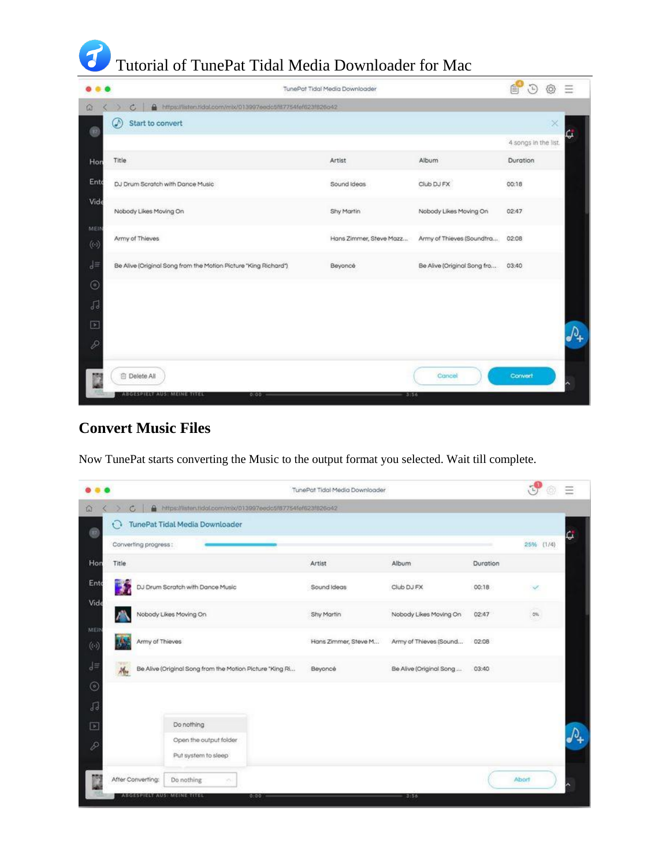

|                                                                                 |                                                             | TunePat Tidal Media Downloader |                                   | 會<br>G.              | Ξ            |
|---------------------------------------------------------------------------------|-------------------------------------------------------------|--------------------------------|-----------------------------------|----------------------|--------------|
| $\alpha$<br>c                                                                   | https://listen.tidol.com/mb/013997eedc5f87754fef623f826o42. |                                |                                   |                      |              |
| ⊛<br>Start to convert<br>⊛                                                      |                                                             |                                |                                   | $\times$             | lc.          |
|                                                                                 |                                                             |                                |                                   | 4 songs in the list. |              |
| Title<br>Hon                                                                    |                                                             | Artist                         | Album                             | Duration             |              |
| Ento<br>DJ Drum Scratch with Dance Music                                        |                                                             | Sound Ideas                    | Club DJ FX                        | 00:18                |              |
| Vide<br>Nobody Likes Moving On                                                  |                                                             | Shy Martin                     | Nobody Likes Moving On            | 02:47                |              |
| MEIN<br>Army of Thieves<br>$\langle \cdot \cdot \rangle$                        |                                                             | Hans Zimmer, Steve Mazz        | Army of Thieves (Soundtra         | 02:08                |              |
| $\mathbf{J}$<br>Be Alive (Original Song from the Motion Picture "King Richard") |                                                             | Beyoncé                        | Be Alive (Original Song fro 03:40 |                      |              |
| $\odot$                                                                         |                                                             |                                |                                   |                      |              |
| 同                                                                               |                                                             |                                |                                   |                      |              |
| $\boxed{\bullet}$                                                               |                                                             |                                |                                   |                      | $\mathbb{Q}$ |
| $\overline{\mathcal{P}}$                                                        |                                                             |                                |                                   |                      |              |
| 向 Delete All                                                                    |                                                             |                                | Cancel                            | Convert              |              |
| ABGESPIELY AUST MEINE TITEL                                                     | 0:00                                                        |                                | 3:56                              |                      |              |

### **Convert Music Files**

Now TunePat starts converting the Music to the output format you selected. Wait till complete.

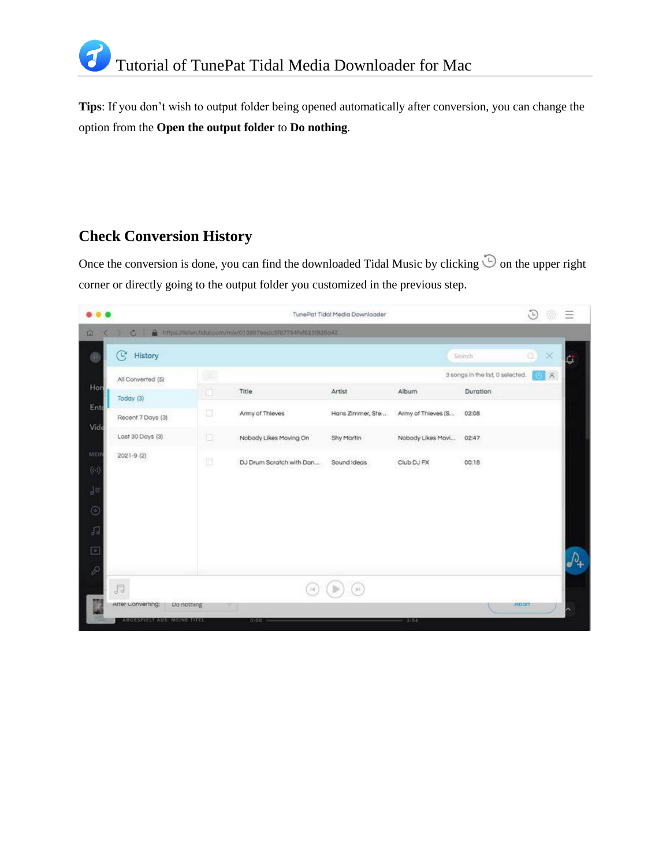**Tips**: If you don't wish to output folder being opened automatically after conversion, you can change the option from the **Open the output folder** to **Do nothing**.

## **Check Conversion History**

Once the conversion is done, you can find the downloaded Tidal Music by clicking  $\hat{\mathbb{D}}$  on the upper right corner or directly going to the output folder you customized in the previous step.